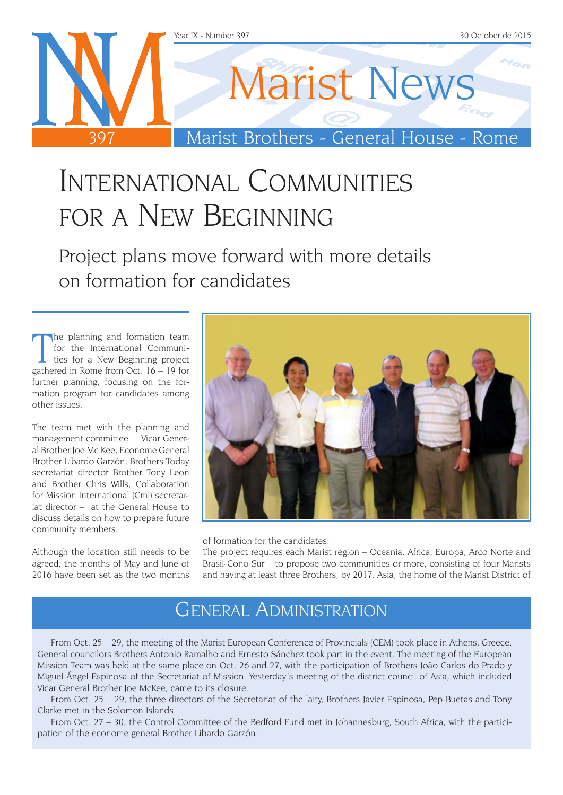

# International Communities for a New Beginning

Project plans move forward with more details on formation for candidates

The planning and formation team<br>for the International Communi-<br>ties for a New Beginning project<br>gathered in Rome from Oct. 16 – 19 for he planning and formation team for the International Communities for a New Beginning project further planning, focusing on the formation program for candidates among other issues.

The team met with the planning and management committee – Vicar General Brother Joe Mc Kee, Econome General Brother Libardo Garzón, Brothers Today secretariat director Brother Tony Leon and Brother Chris Wills, Collaboration for Mission International (Cmi) secretariat director – at the General House to discuss details on how to prepare future community members.

Although the location still needs to be agreed, the months of May and June of 2016 have been set as the two months



of formation for the candidates.

The project requires each Marist region – Oceania, Africa, Europa, Arco Norte and Brasil-Cono Sur – to propose two communities or more, consisting of four Marists and having at least three Brothers, by 2017. Asia, the home of the Marist District of

### General Administration

From Oct. 25 – 29, the meeting of the Marist European Conference of Provincials (CEM) took place in Athens, Greece. General councilors Brothers Antonio Ramalho and Ernesto Sánchez took part in the event. The meeting of the European Mission Team was held at the same place on Oct. 26 and 27, with the participation of Brothers João Carlos do Prado y Miguel Ángel Espinosa of the Secretariat of Mission. Yesterday's meeting of the district council of Asia, which included Vicar General Brother Joe McKee, came to its closure.

From Oct. 25 – 29, the three directors of the Secretariat of the laity, Brothers Javier Espinosa, Pep Buetas and Tony Clarke met in the Solomon Islands.

From Oct. 27 – 30, the Control Committee of the Bedford Fund met in Johannesburg, South Africa, with the participation of the econome general Brother Libardo Garzón.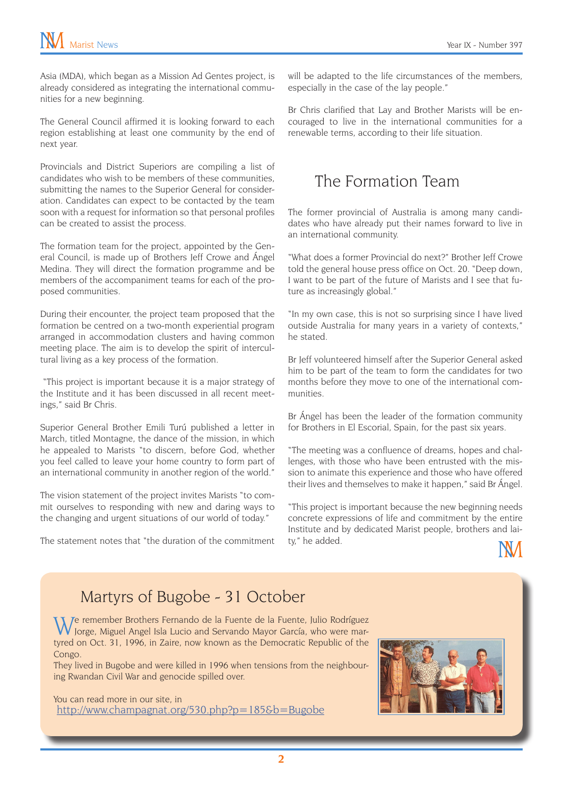Asia (MDA), which began as a Mission Ad Gentes project, is already considered as integrating the international communities for a new beginning.

The General Council affirmed it is looking forward to each region establishing at least one community by the end of next year.

Provincials and District Superiors are compiling a list of candidates who wish to be members of these communities, submitting the names to the Superior General for consideration. Candidates can expect to be contacted by the team soon with a request for information so that personal profiles can be created to assist the process.

The formation team for the project, appointed by the General Council, is made up of Brothers Jeff Crowe and Ángel Medina. They will direct the formation programme and be members of the accompaniment teams for each of the proposed communities.

During their encounter, the project team proposed that the formation be centred on a two-month experiential program arranged in accommodation clusters and having common meeting place. The aim is to develop the spirit of intercultural living as a key process of the formation.

 "This project is important because it is a major strategy of the Institute and it has been discussed in all recent meetings," said Br Chris.

Superior General Brother Emili Turú published a letter in March, titled Montagne, the dance of the mission, in which he appealed to Marists "to discern, before God, whether you feel called to leave your home country to form part of an international community in another region of the world."

The vision statement of the project invites Marists "to commit ourselves to responding with new and daring ways to the changing and urgent situations of our world of today."

The statement notes that "the duration of the commitment

will be adapted to the life circumstances of the members, especially in the case of the lay people."

Br Chris clarified that Lay and Brother Marists will be encouraged to live in the international communities for a renewable terms, according to their life situation.

#### The Formation Team

The former provincial of Australia is among many candidates who have already put their names forward to live in an international community.

"What does a former Provincial do next?" Brother Jeff Crowe told the general house press office on Oct. 20. "Deep down, I want to be part of the future of Marists and I see that future as increasingly global."

"In my own case, this is not so surprising since I have lived outside Australia for many years in a variety of contexts," he stated.

Br Jeff volunteered himself after the Superior General asked him to be part of the team to form the candidates for two months before they move to one of the international communities.

Br Ángel has been the leader of the formation community for Brothers in El Escorial, Spain, for the past six years.

"The meeting was a confluence of dreams, hopes and challenges, with those who have been entrusted with the mission to animate this experience and those who have offered their lives and themselves to make it happen," said Br Ángel.

"This project is important because the new beginning needs concrete expressions of life and commitment by the entire Institute and by dedicated Marist people, brothers and laity," he added.



#### Martyrs of Bugobe - 31 October

We remember Brothers Fernando de la Fuente de la Fuente, Julio Rodríguez Jorge, Miguel Angel Isla Lucio and Servando Mayor García, who were martyred on Oct. 31, 1996, in Zaire, now known as the Democratic Republic of the Congo.

They lived in Bugobe and were killed in 1996 when tensions from the neighbouring Rwandan Civil War and genocide spilled over.

You can read more in our site, in <http://www.champagnat.org/530.php?p=185&b=Bugobe>

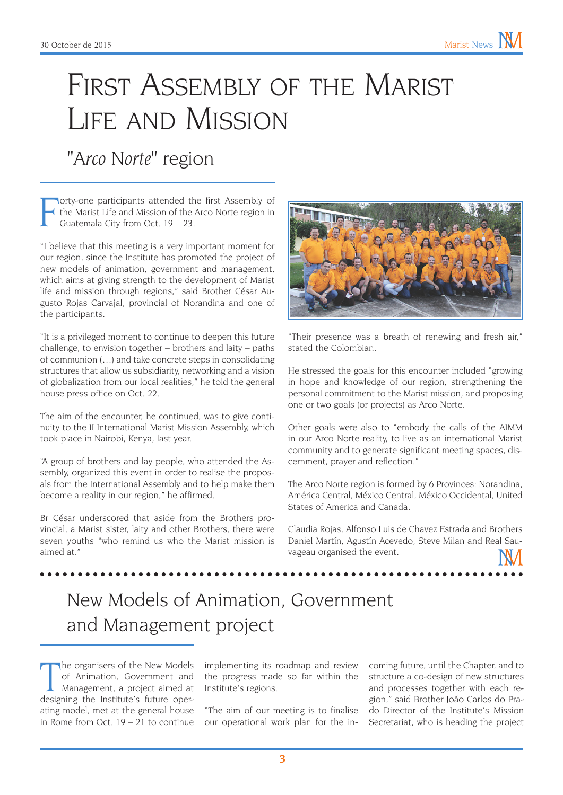# FIRST ASSEMBLY OF THE MARIST Life and Mission

*"Arco Norte"* region

F lorty-one participants attended the first Assembly of the Marist Life and Mission of the Arco Norte region in Guatemala City from Oct. 19 – 23.

"I believe that this meeting is a very important moment for our region, since the Institute has promoted the project of new models of animation, government and management, which aims at giving strength to the development of Marist life and mission through regions," said Brother César Augusto Rojas Carvajal, provincial of Norandina and one of the participants.

"It is a privileged moment to continue to deepen this future challenge, to envision together – brothers and laity – paths of communion (…) and take concrete steps in consolidating structures that allow us subsidiarity, networking and a vision of globalization from our local realities," he told the general house press office on Oct. 22.

The aim of the encounter, he continued, was to give continuity to the II International Marist Mission Assembly, which took place in Nairobi, Kenya, last year.

"A group of brothers and lay people, who attended the Assembly, organized this event in order to realise the proposals from the International Assembly and to help make them become a reality in our region," he affirmed.

Br César underscored that aside from the Brothers provincial, a Marist sister, laity and other Brothers, there were seven youths "who remind us who the Marist mission is aimed at."



"Their presence was a breath of renewing and fresh air," stated the Colombian.

He stressed the goals for this encounter included "growing in hope and knowledge of our region, strengthening the personal commitment to the Marist mission, and proposing one or two goals (or projects) as Arco Norte.

Other goals were also to "embody the calls of the AIMM in our Arco Norte reality, to live as an international Marist community and to generate significant meeting spaces, discernment, prayer and reflection."

The Arco Norte region is formed by 6 Provinces: Norandina, América Central, México Central, México Occidental, United States of America and Canada.

Claudia Rojas, Alfonso Luis de Chavez Estrada and Brothers Daniel Martín, Agustín Acevedo, Steve Milan and Real Sauvageau organised the event.

### New Models of Animation, Government and Management project

The organisers of the New Models<br>of Animation, Government and<br>Management, a project aimed at<br>designing the Institute's future operhe organisers of the New Models of Animation, Government and Management, a project aimed at ating model, met at the general house in Rome from Oct. 19 – 21 to continue

implementing its roadmap and review the progress made so far within the Institute's regions.

"The aim of our meeting is to finalise our operational work plan for the in-

coming future, until the Chapter, and to structure a co-design of new structures and processes together with each region," said Brother João Carlos do Prado Director of the Institute's Mission Secretariat, who is heading the project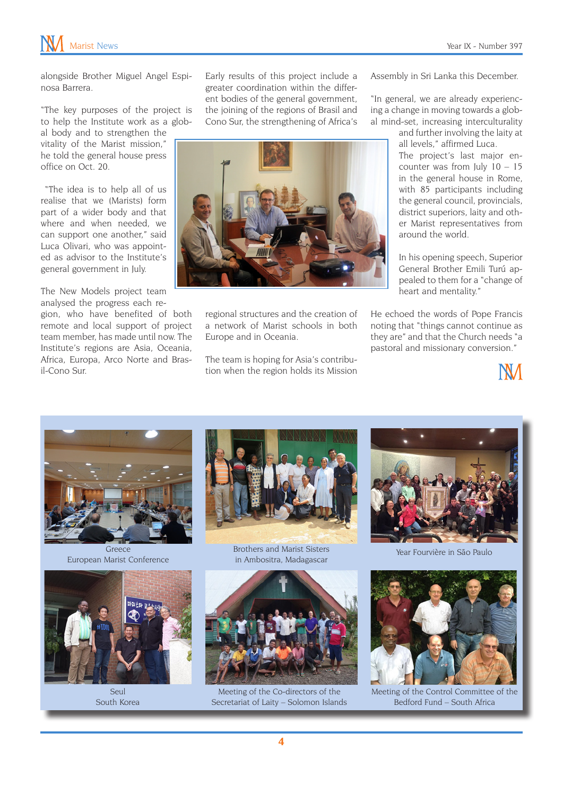

alongside Brother Miguel Angel Espinosa Barrera.

"The key purposes of the project is to help the Institute work as a global body and to strengthen the vitality of the Marist mission," he told the general house press office on Oct. 20.

 "The idea is to help all of us realise that we (Marists) form part of a wider body and that where and when needed, we can support one another," said Luca Olivari, who was appointed as advisor to the Institute's general government in July.

The New Models project team analysed the progress each re-

gion, who have benefited of both remote and local support of project team member, has made until now. The Institute's regions are Asia, Oceania, Africa, Europa, Arco Norte and Brasil-Cono Sur.

Early results of this project include a greater coordination within the different bodies of the general government, the joining of the regions of Brasil and Cono Sur, the strengthening of Africa's



regional structures and the creation of a network of Marist schools in both Europe and in Oceania.

The team is hoping for Asia's contribution when the region holds its Mission Assembly in Sri Lanka this December.

"In general, we are already experiencing a change in moving towards a global mind-set, increasing interculturality

> and further involving the laity at all levels," affirmed Luca.

> The project's last major encounter was from July  $10 - 15$ in the general house in Rome, with 85 participants including the general council, provincials, district superiors, laity and other Marist representatives from around the world.

> In his opening speech, Superior General Brother Emili Turú appealed to them for a "change of heart and mentality."

He echoed the words of Pope Francis noting that "things cannot continue as they are" and that the Church needs "a pastoral and missionary conversion."





Greece European Marist Conference



Seul South Korea



Brothers and Marist Sisters in Ambositra, Madagascar



Meeting of the Co-directors of the Secretariat of Laity – Solomon Islands



Year Fourvière in São Paulo



Meeting of the Control Committee of the Bedford Fund – South Africa